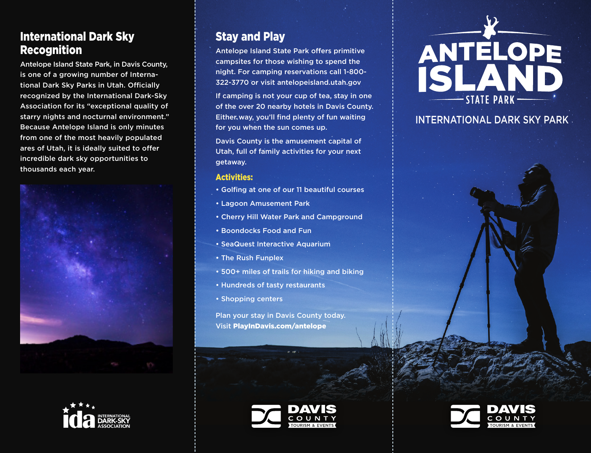## International Dark Sky Recognition

Antelope Island State Park, in Davis County, is one of a growing number of International Dark Sky Parks in Utah. Officially recognized by the International Dark-Sky Association for its "exceptional quality of starry nights and nocturnal environment." Because Antelope Island is only minutes from one of the most heavily populated ares of Utah, it is ideally suited to offer incredible dark sky opportunities to thousands each year.





# Stay and Play

Antelope Island State Park offers primitive campsites for those wishing to spend the night. For camping reservations call 1-800- 322-3770 or visit antelopeisland.utah.gov

If camping is not your cup of tea, stay in one of the over 20 nearby hotels in Davis County. Either way, you'll find plenty of fun waiting for you when the sun comes up.

Davis County is the amusement capital of Utah, full of family activities for your next getaway.

#### Activities:

- Golfing at one of our 11 beautiful courses
- Lagoon Amusement Park
- Cherry Hill Water Park and Campground
- Boondocks Food and Fun
- SeaQuest Interactive Aquarium
- The Rush Funplex
- 500+ miles of trails for hiking and biking
- Hundreds of tasty restaurants
- Shopping centers

Plan your stay in Davis County today. Visit PlayInDavis.com/antelope





## INTERNATIONAL DARK SKY PARK